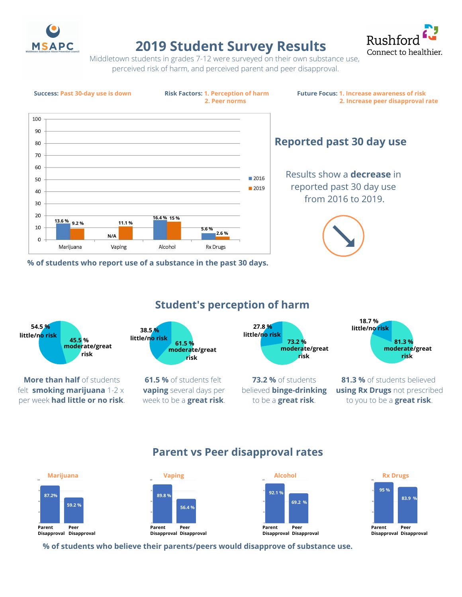

# **2019 Student Survey Results**



Middletown students in grades 7-12 were surveyed on their own substance use, perceived risk of harm, and perceived parent and peer disapproval.



**% of students who report use of a substance in the past 30 days.**

Little or No Risk 54.5% Moderate or Great Risk **45.5 %** Moderate or Great Risk **risk** Little or No Risk 27.5% **27.8 % 18.7** % moderate/great Little or No Risk **38.5 %** 38.5% **little/no risk Student's perception of harm 73.2 %** of students believed **binge-drinking** to be a **great risk**. **81.3 %** of students believed **using Rx Drugs** not prescribed to you to be a **great risk**. **little/no risk More than half** of students felt **smoking marijuana** 1-2 x per week **had little or no risk**. **61.5 %** of students felt **vaping** several days per week to be a **great risk**. **54.5 % moderate/great risk risk 61.5 % 73.2 % moderate/great little/no risk moderate/great risk 81.3 % little/no risk**

## **Parent vs Peer disapproval rates**



**% of students who believe their parents/peers would disapprove of substance use.**